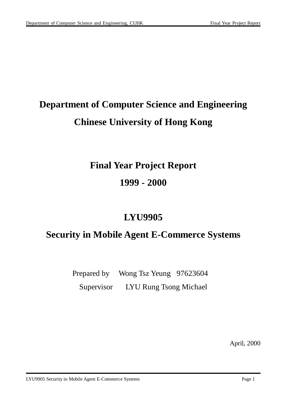# **Department of Computer Science and Engineering Chinese University of Hong Kong**

## **Final Year Project Report**

**1999 - 2000**

## **LYU9905**

## **Security in Mobile Agent E-Commerce Systems**

Prepared by Wong Tsz Yeung 97623604 Supervisor LYU Rung Tsong Michael

April, 2000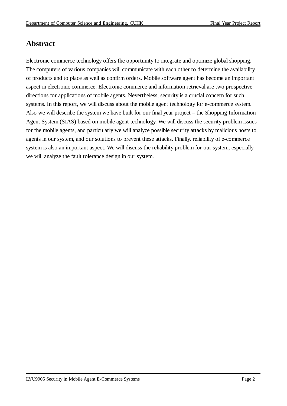## **Abstract**

Electronic commerce technology offers the opportunity to integrate and optimize global shopping. The computers of various companies will communicate with each other to determine the availability of products and to place as well as confirm orders. Mobile software agent has become an important aspect in electronic commerce. Electronic commerce and information retrieval are two prospective directions for applications of mobile agents. Nevertheless, security is a crucial concern for such systems. In this report, we will discuss about the mobile agent technology for e-commerce system. Also we will describe the system we have built for our final year project – the Shopping Information Agent System (SIAS) based on mobile agent technology. We will discuss the security problem issues for the mobile agents, and particularly we will analyze possible security attacks by malicious hosts to agents in our system, and our solutions to prevent these attacks. Finally, reliability of e-commerce system is also an important aspect. We will discuss the reliability problem for our system, especially we will analyze the fault tolerance design in our system.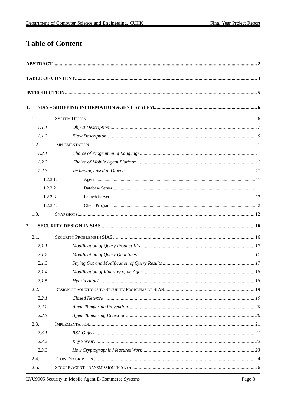## **Table of Content**

| 1.             |  |
|----------------|--|
| 1.1.           |  |
| 1.1.1.         |  |
| 1.1.2.         |  |
| 1.2.           |  |
| 1.2.1.         |  |
| 1.2.2.         |  |
| 1.2.3.         |  |
| $1, 2, 3, 1$ . |  |
| 1, 2, 3, 2.    |  |
| 1.2.3.3.       |  |
| 1.2.3.4.       |  |
| 1.3.           |  |
| 2.             |  |
| 2.1.           |  |
| 2.1.1.         |  |
| 2.1.2.         |  |
| 2.1.3.         |  |
| 2.1.4.         |  |
| 2.1.5.         |  |
| 2.2.           |  |
| 2.2.1.         |  |
| 2.2.2.         |  |
| 2.2.3.         |  |
| 2.3.           |  |
| 2.3.1.         |  |
| 2.3.2.         |  |
| 2.3.3.         |  |
| 2.4.           |  |
| 2.5.           |  |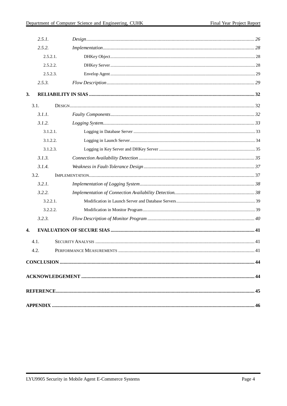| 2.5.1.   |  |
|----------|--|
| 2.5.2.   |  |
| 2.5.2.1. |  |
| 2.5.2.2. |  |
| 2.5.2.3. |  |
| 2.5.3.   |  |
| 3.       |  |
| 3.1.     |  |
| 3.1.1.   |  |
| 3.1.2.   |  |
| 3.1.2.1. |  |
| 3.1.2.2. |  |
| 3.1.2.3. |  |
| 3.1.3.   |  |
| 3.1.4.   |  |
| 3.2.     |  |
| 3.2.1.   |  |
| 3.2.2.   |  |
| 3.2.2.1. |  |
| 3.2.2.2. |  |
| 3.2.3.   |  |
| 4.       |  |
| 4.1.     |  |
| 4.2.     |  |
|          |  |
|          |  |
|          |  |
|          |  |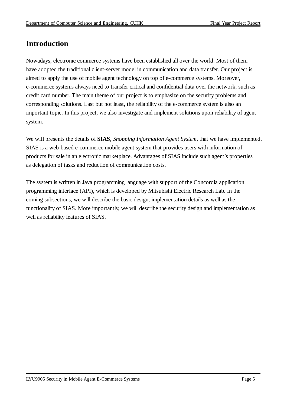## **Introduction**

Nowadays, electronic commerce systems have been established all over the world. Most of them have adopted the traditional client-server model in communication and data transfer. Our project is aimed to apply the use of mobile agent technology on top of e-commerce systems. Moreover, e-commerce systems always need to transfer critical and confidential data over the network, such as credit card number. The main theme of our project is to emphasize on the security problems and corresponding solutions. Last but not least, the reliability of the e-commerce system is also an important topic. In this project, we also investigate and implement solutions upon reliability of agent system.

We will presents the details of **SIAS**, *Shopping Information Agent System*, that we have implemented. SIAS is a web-based e-commerce mobile agent system that provides users with information of products for sale in an electronic marketplace. Advantages of SIAS include such agent's properties as delegation of tasks and reduction of communication costs.

The system is written in Java programming language with support of the Concordia application programming interface (API), which is developed by Mitsubishi Electric Research Lab. In the coming subsections, we will describe the basic design, implementation details as well as the functionality of SIAS. More importantly, we will describe the security design and implementation as well as reliability features of SIAS.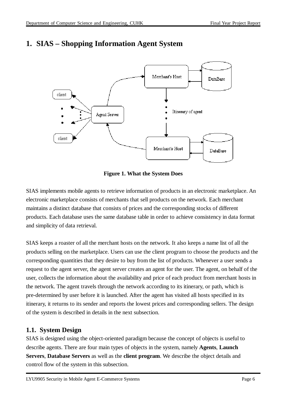client



### **1. SIAS – Shopping Information Agent System**

Agent Server



Itinerary of agent

DataBase

Merchant's Host

SIAS implements mobile agents to retrieve information of products in an electronic marketplace. An electronic marketplace consists of merchants that sell products on the network. Each merchant maintains a distinct database that consists of prices and the corresponding stocks of different products. Each database uses the same database table in order to achieve consistency in data format and simplicity of data retrieval.

SIAS keeps a roaster of all the merchant hosts on the network. It also keeps a name list of all the products selling on the marketplace. Users can use the client program to choose the products and the corresponding quantities that they desire to buy from the list of products. Whenever a user sends a request to the agent server, the agent server creates an agent for the user. The agent, on behalf of the user, collects the information about the availability and price of each product from merchant hosts in the network. The agent travels through the network according to its itinerary, or path, which is pre-determined by user before it is launched. After the agent has visited all hosts specified in its itinerary, it returns to its sender and reports the lowest prices and corresponding sellers. The design of the system is described in details in the next subsection.

#### **1.1. System Design**

SIAS is designed using the object-oriented paradigm because the concept of objects is useful to describe agents. There are four main types of objects in the system, namely **Agents**, **Launch Servers**, **Database Servers** as well as the **client program**. We describe the object details and control flow of the system in this subsection.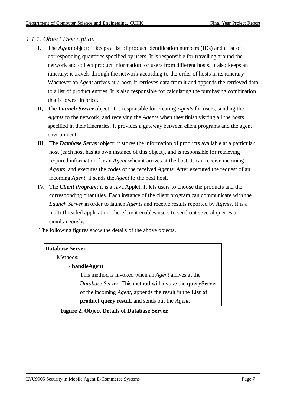#### *1.1.1. Object Description*

- I, The *Agent* object: it keeps a list of product identification numbers (IDs) and a list of corresponding quantities specified by users. It is responsible for travelling around the network and collect product information for users from different hosts. It also keeps an itinerary; it travels through the network according to the order of hosts in its itinerary. Whenever an *Agent* arrives at a host, it retrieves data from it and appends the retrieved data to a list of product entries. It is also responsible for calculating the purchasing combination that is lowest in price.
- II, The *Launch Server* object: it is responsible for creating *Agents* for users, sending the *Agents* to the network, and receiving the *Agents* when they finish visiting all the hosts specified in their itineraries. It provides a gateway between client programs and the agent environment.
- III, The *Database Server* object: it stores the information of products available at a particular host (each host has its own instance of this object), and is responsible for retrieving required information for an *Agent* when it arrives at the host. It can receive incoming *Agents*, and executes the codes of the received *Agents*. After executed the request of an incoming *Agent*, it sends the *Agent* to the next host.
- IV, The *Client Program*: it is a Java Applet. It lets users to choose the products and the corresponding quantities. Each instance of the client program can communicate with the *Launch Server* in order to launch *Agents* and receive results reported by *Agents*. It is a multi-threaded application, therefore it enables users to send out several queries at simultaneously.

The following figures show the details of the above objects.

| <b>Database Server</b>                                                  |  |
|-------------------------------------------------------------------------|--|
| Methods:                                                                |  |
| - handleAgent                                                           |  |
| This method is invoked when an <i>Agent</i> arrives at the              |  |
| <i>Database Server.</i> This method will invoke the <b>queryServer</b>  |  |
| of the incoming <i>Agent</i> , appends the result in the <b>List of</b> |  |
| <b>product query result</b> , and sends out the <i>Agent</i> .          |  |

#### **Figure 2. Object Details of Database Server.**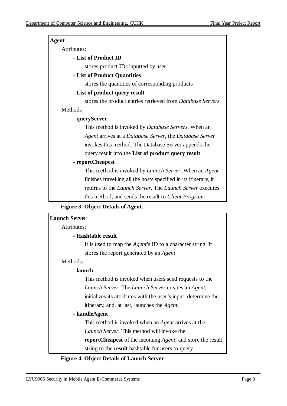| <b>Agent</b>                                                            |
|-------------------------------------------------------------------------|
| Attributes:                                                             |
| - List of Product ID                                                    |
| stores product IDs inputted by user                                     |
| - List of Product Quantities                                            |
| stores the quantities of corresponding products                         |
| - List of product query result                                          |
| stores the product entries retrieved from <i>Database Servers</i>       |
| Methods                                                                 |
| - queryServer                                                           |
| This method is invoked by <i>Database Servers</i> . When an             |
| Agent arrives at a Database Server, the Database Server                 |
| invokes this method. The Database Server appends the                    |
| query result into the List of product query result.                     |
| - reportCheapest                                                        |
| This method is invoked by <i>Launch Server</i> . When an <i>Agent</i>   |
| finishes travelling all the hosts specified in its itinerary, it        |
| returns to the <i>Launch Server</i> . The <i>Launch Server</i> executes |
| this method, and sends the result to <i>Client Program</i> .            |

**Figure 3. Object Details of Agent.**



**Figure 4. Object Details of Launch Server**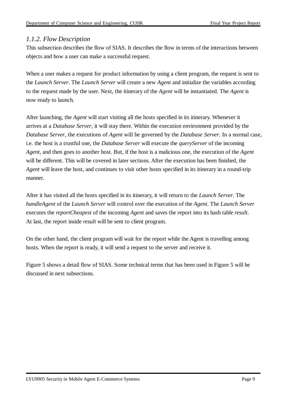#### *1.1.2. Flow Description*

This subsection describes the flow of SIAS. It describes the flow in terms of the interactions between objects and how a user can make a successful request.

When a user makes a request for product information by using a client program, the request is sent to the *Launch Server*. The *Launch Server* will create a new *Agent* and initialize the variables according to the request made by the user. Next, the itinerary of the *Agent* will be instantiated. The *Agent* is now ready to launch.

After launching, the *Agent* will start visiting all the hosts specified in its itinerary. Whenever it arrives at a *Database Server*, it will stay there. Within the execution environment provided by the *Database Server*, the executions of *Agent* will be governed by the *Database Server*. In a normal case, i.e. the host is a trustful one, the *Database Server* will execute the *queryServer* of the incoming *Agent*, and then goes to another host. But, if the host is a malicious one, the execution of the *Agent* will be different. This will be covered in later sections. After the execution has been finished, the *Agent* will leave the host, and continues to visit other hosts specified in its itinerary in a round-trip manner.

After it has visited all the hosts specified in its itinerary, it will return to the *Launch Server*. The *handleAgent* of the *Launch Server* will control over the execution of the *Agent*. The *Launch Server* executes the *reportCheapest* of the incoming *Agent* and saves the report into its hash table *result*. At last, the report inside *result* will be sent to client program.

On the other hand, the client program will wait for the report while the Agent is travelling among hosts. When the report is ready, it will send a request to the server and receive it.

Figure 5 shows a detail flow of SIAS. Some technical terms that has been used in Figure 5 will be discussed in next subsections.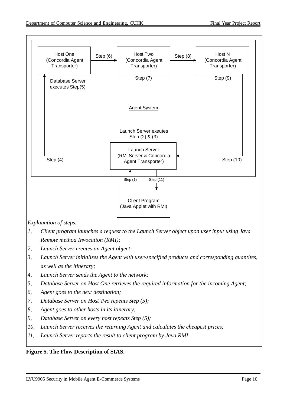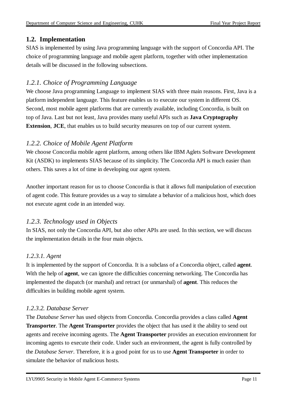#### **1.2. Implementation**

SIAS is implemented by using Java programming language with the support of Concordia API. The choice of programming language and mobile agent platform, together with other implementation details will be discussed in the following subsections.

#### *1.2.1. Choice of Programming Language*

We choose Java programming Language to implement SIAS with three main reasons. First, Java is a platform independent language. This feature enables us to execute our system in different OS. Second, most mobile agent platforms that are currently available, including Concordia, is built on top of Java. Last but not least, Java provides many useful APIs such as **Java Cryptography Extension**, **JCE**, that enables us to build security measures on top of our current system.

#### *1.2.2. Choice of Mobile Agent Platform*

We choose Concordia mobile agent platform, among others like IBM Aglets Software Development Kit (ASDK) to implements SIAS because of its simplicity. The Concordia API is much easier than others. This saves a lot of time in developing our agent system.

Another important reason for us to choose Concordia is that it allows full manipulation of execution of agent code. This feature provides us a way to simulate a behavior of a malicious host, which does not execute agent code in an intended way.

#### *1.2.3. Technology used in Objects*

In SIAS, not only the Concordia API, but also other APIs are used. In this section, we will discuss the implementation details in the four main objects.

#### *1.2.3.1. Agent*

It is implemented by the support of Concordia. It is a subclass of a Concordia object, called **agent**. With the help of **agent**, we can ignore the difficulties concerning networking. The Concordia has implemented the dispatch (or marshal) and retract (or unmarshal) of **agent**. This reduces the difficulties in building mobile agent system.

#### *1.2.3.2. Database Server*

The *Database Server* has used objects from Concordia. Concordia provides a class called **Agent Transporter**. The **Agent Transporter** provides the object that has used it the ability to send out agents and receive incoming agents. The **Agent Transporter** provides an execution environment for incoming agents to execute their code. Under such an environment, the agent is fully controlled by the *Database Server*. Therefore, it is a good point for us to use **Agent Transporter** in order to simulate the behavior of malicious hosts.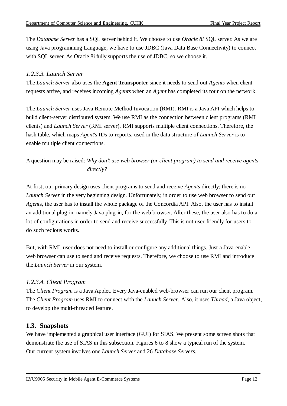The *Database Server* has a SQL server behind it. We choose to use *Oracle 8i* SQL server. As we are using Java programming Language, we have to use JDBC (Java Data Base Connectivity) to connect with SQL server. As Oracle 8i fully supports the use of JDBC, so we choose it.

#### *1.2.3.3. Launch Server*

The *Launch Server* also uses the **Agent Transporter** since it needs to send out *Agents* when client requests arrive, and receives incoming *Agents* when an *Agent* has completed its tour on the network.

The *Launch Server* uses Java Remote Method Invocation (RMI). RMI is a Java API which helps to build client-server distributed system. We use RMI as the connection between client programs (RMI clients) and *Launch Server* (RMI server). RMI supports multiple client connections. Therefore, the hash table, which maps *Agent*'s IDs to reports, used in the data structure of *Launch Server* is to enable multiple client connections.

A question may be raised: *Why don't use web browser (or client program) to send and receive agents directly?*

At first, our primary design uses client programs to send and receive *Agents* directly; there is no *Launch Server* in the very beginning design. Unfortunately, in order to use web browser to send out *Agent*s, the user has to install the whole package of the Concordia API. Also, the user has to install an additional plug-in, namely Java plug-in, for the web browser. After these, the user also has to do a lot of configurations in order to send and receive successfully. This is not user-friendly for users to do such tedious works.

But, with RMI, user does not need to install or configure any additional things. Just a Java-enable web browser can use to send and receive requests. Therefore, we choose to use RMI and introduce the *Launch Server* in our system.

#### *1.2.3.4. Client Program*

The *Client Program* is a Java Applet. Every Java-enabled web-browser can run our client program. The *Client Program* uses RMI to connect with the *Launch Server*. Also, it uses *Thread*, a Java object, to develop the multi-threaded feature.

#### **1.3. Snapshots**

We have implemented a graphical user interface (GUI) for SIAS. We present some screen shots that demonstrate the use of SIAS in this subsection. Figures 6 to 8 show a typical run of the system. Our current system involves one *Launch Server* and 26 *Database Servers*.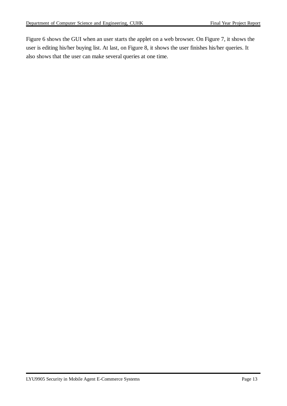Figure 6 shows the GUI when an user starts the applet on a web browser. On Figure 7, it shows the user is editing his/her buying list. At last, on Figure 8, it shows the user finishes his/her queries. It also shows that the user can make several queries at one time.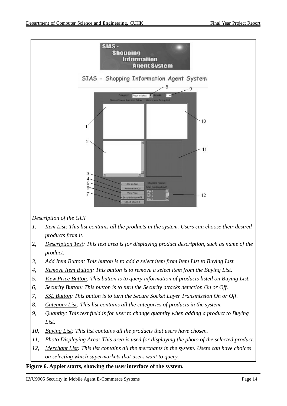

*Description of the GUI*

- *1, Item List: This list contains all the products in the system. Users can choose their desired products from it.*
- 2, *Description Text: This text area is for displaying product description, such as name of the product.*
- *3, Add Item Button: This button is to add a select item from Item List to Buying List.*
- *4, Remove Item Button: This button is to remove a select item from the Buying List.*
- *5, View Price Button: This button is to query information of products listed on Buying List.*
- *6, Security Button: This button is to turn the Security attacks detection On or Off.*
- *7, SSL Button: This button is to turn the Secure Socket Layer Transmission On or Off.*
- *8, Category List: This list contains all the categories of products in the system.*
- *9, Quantity: This text field is for user to change quantity when adding a product to Buying List.*
- *10, Buying List: This list contains all the products that users have chosen.*
- *11, Photo Displaying Area: This area is used for displaying the photo of the selected product.*
- *12, Merchant List: This list contains all the merchants in the system. Users can have choices on selecting which supermarkets that users want to query.*

#### **Figure 6. Applet starts, showing the user interface of the system.**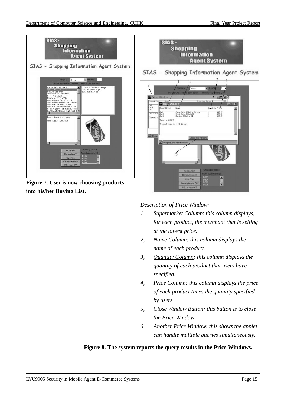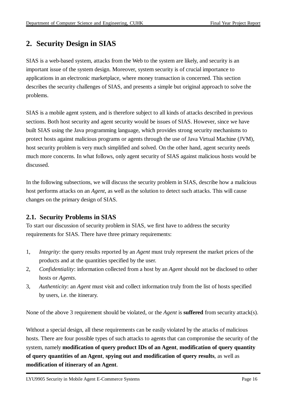## **2. Security Design in SIAS**

SIAS is a web-based system, attacks from the Web to the system are likely, and security is an important issue of the system design. Moreover, system security is of crucial importance to applications in an electronic marketplace, where money transaction is concerned. This section describes the security challenges of SIAS, and presents a simple but original approach to solve the problems.

SIAS is a mobile agent system, and is therefore subject to all kinds of attacks described in previous sections. Both host security and agent security would be issues of SIAS. However, since we have built SIAS using the Java programming language, which provides strong security mechanisms to protect hosts against malicious programs or agents through the use of Java Virtual Machine (JVM), host security problem is very much simplified and solved. On the other hand, agent security needs much more concerns. In what follows, only agent security of SIAS against malicious hosts would be discussed.

In the following subsections, we will discuss the security problem in SIAS, describe how a malicious host performs attacks on an *Agent*, as well as the solution to detect such attacks. This will cause changes on the primary design of SIAS.

#### **2.1. Security Problems in SIAS**

To start our discussion of security problem in SIAS, we first have to address the security requirements for SIAS. There have three primary requirements:

- 1, *Integrity*: the query results reported by an *Agent* must truly represent the market prices of the products and at the quantities specified by the user.
- 2, *Confidentiality*: information collected from a host by an *Agent* should not be disclosed to other hosts or *Agents*.
- 3, *Authenticity*: an *Agent* must visit and collect information truly from the list of hosts specified by users, i.e. the itinerary.

None of the above 3 requirement should be violated, or the *Agent* is **suffered** from security attack(s).

Without a special design, all these requirements can be easily violated by the attacks of malicious hosts. There are four possible types of such attacks to agents that can compromise the security of the system, namely **modification of query product IDs of an Agent**, **modification of query quantity of query quantities of an Agent**, **spying out and modification of query results**, as well as **modification of itinerary of an Agent**.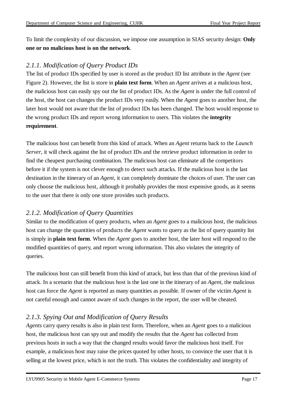To limit the complexity of our discussion, we impose one assumption in SIAS security design: **Only one or no malicious host is on the network**.

#### *2.1.1. Modification of Query Product IDs*

The list of product IDs specified by user is stored as the product ID list attribute in the *Agent* (see Figure 2). However, the list is store in **plain text form**. When an *Agent* arrives at a malicious host, the malicious host can easily spy out the list of product IDs. As the *Agent* is under the full control of the host, the host can changes the product IDs very easily. When the *Agent* goes to another host, the later host would not aware that the list of product IDs has been changed. The host would response to the wrong product IDs and report wrong information to users. This violates the **integrity requirement**.

The malicious host can benefit from this kind of attack. When an *Agent* returns back to the *Launch Server*, it will check against the list of product IDs and the retrieve product information in order to find the cheapest purchasing combination. The malicious host can eliminate all the competitors before it if the system is not clever enough to detect such attacks. If the malicious host is the last destination in the itinerary of an *Agent*, it can completely dominate the choices of user. The user can only choose the malicious host, although it probably provides the most expensive goods, as it seems to the user that there is only one store provides such products.

#### *2.1.2. Modification of Query Quantities*

Similar to the modification of query products, when an *Agent* goes to a malicious host, the malicious host can change the quantities of products the *Agent* wants to query as the list of query quantity list is simply in **plain text form**. When the *Agent* goes to another host, the later host will respond to the modified quantities of query, and report wrong information. This also violates the integrity of queries.

The malicious host can still benefit from this kind of attack, but less than that of the previous kind of attack. In a scenario that the malicious host is the last one in the itinerary of an *Agent*, the malicious host can force the *Agent* is reported as many quantities as possible. If owner of the victim *Agent* is not careful enough and cannot aware of such changes in the report, the user will be cheated.

#### *2.1.3. Spying Out and Modification of Query Results*

*Agents* carry query results is also in plain text form. Therefore, when an *Agent* goes to a malicious host, the malicious host can spy out and modify the results that the *Agent* has collected from previous hosts in such a way that the changed results would favor the malicious host itself. For example, a malicious host may raise the prices quoted by other hosts, to convince the user that it is selling at the lowest price, which is not the truth. This violates the confidentiality and integrity of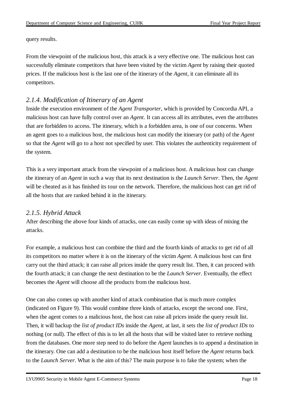query results.

From the viewpoint of the malicious host, this attack is a very effective one. The malicious host can successfully eliminate competitors that have been visited by the victim *Agent* by raising their quoted prices. If the malicious host is the last one of the itinerary of the *Agent*, it can eliminate all its competitors.

#### *2.1.4. Modification of Itinerary of an Agent*

Inside the execution environment of the *Agent Transporter*, which is provided by Concordia API, a malicious host can have fully control over an *Agent*. It can access all its attributes, even the attributes that are forbidden to access. The itinerary, which is a forbidden area, is one of our concerns. When an agent goes to a malicious host, the malicious host can modify the itinerary (or path) of the *Agent* so that the *Agent* will go to a host not specified by user. This violates the authenticity requirement of the system.

This is a very important attack from the viewpoint of a malicious host. A malicious host can change the itinerary of an *Agent* in such a way that its next destination is the *Launch Server*. Then, the *Agent* will be cheated as it has finished its tour on the network. Therefore, the malicious host can get rid of all the hosts that are ranked behind it in the itinerary.

#### *2.1.5. Hybrid Attack*

After describing the above four kinds of attacks, one can easily come up with ideas of mixing the attacks.

For example, a malicious host can combine the third and the fourth kinds of attacks to get rid of all its competitors no matter where it is on the itinerary of the victim *Agent*. A malicious host can first carry out the third attack; it can raise all prices inside the query result list. Then, it can proceed with the fourth attack; it can change the next destination to be the *Launch Server*. Eventually, the effect becomes the *Agent* will choose all the products from the malicious host.

One can also comes up with another kind of attack combination that is much more complex (indicated on Figure 9). This would combine three kinds of attacks, except the second one. First, when the agent comes to a malicious host, the host can raise all prices inside the query result list. Then, it will backup the *list of product IDs* inside the *Agent*, at last, it sets the *list of product IDs* to nothing (or null). The effect of this is to let all the hosts that will be visited later to retrieve nothing from the databases. One more step need to do before the *Agent* launches is to append a destination in the itinerary. One can add a destination to be the malicious host itself before the *Agent* returns back to the *Launch Server*. What is the aim of this? The main purpose is to fake the system; when the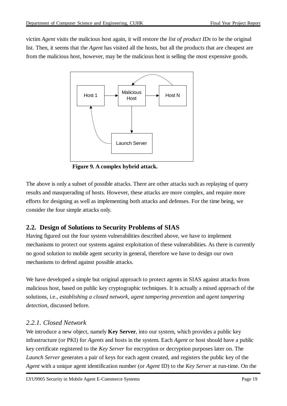victim *Agent* visits the malicious host again, it will restore the *list of product IDs* to be the original list. Then, it seems that the *Agent* has visited all the hosts, but all the products that are cheapest are from the malicious host, however, may be the malicious host is selling the most expensive goods.



**Figure 9. A complex hybrid attack.**

The above is only a subset of possible attacks. There are other attacks such as replaying of query results and masquerading of hosts. However, these attacks are more complex, and require more efforts for designing as well as implementing both attacks and defenses. For the time being, we consider the four simple attacks only.

#### **2.2. Design of Solutions to Security Problems of SIAS**

Having figured out the four system vulnerabilities described above, we have to implement mechanisms to protect our systems against exploitation of these vulnerabilities. As there is currently no good solution to mobile agent security in general, therefore we have to design our own mechanisms to defend against possible attacks.

We have developed a simple but original approach to protect agents in SIAS against attacks from malicious host, based on public key cryptographic techniques. It is actually a mixed approach of the solutions, i.e., *establishing a closed network, agent tampering prevention* and *agent tampering detection*, discussed before.

#### *2.2.1. Closed Network*

We introduce a new object, namely **Key Server**, into our system, which provides a public key infrastructure (or PKI) for *Agents* and hosts in the system. Each *Agent* or host should have a public key certificate registered to the *Key Server* for encryption or decryption purposes later on. The *Launch Server* generates a pair of keys for each agent created, and registers the public key of the *Agent* with a unique agent identification number (or *Agent* ID) to the *Key Server* at run-time. On the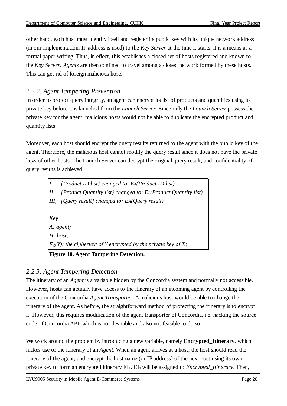other hand, each host must identify itself and register its public key with its unique network address (in our implementation, IP address is used) to the *Key Server* at the time it starts; it is a means as a formal paper writing. Thus, in effect, this establishes a closed set of hosts registered and known to the *Key Server*. *Agents* are then confined to travel among a closed network formed by these hosts. This can get rid of foreign malicious hosts.

#### *2.2.2. Agent Tampering Prevention*

In order to protect query integrity, an agent can encrypt its list of products and quantities using its private key before it is launched from the *Launch Server*. Since only the *Launch Server* possess the private key for the agent, malicious hosts would not be able to duplicate the encrypted product and quantity lists.

Moreover, each host should encrypt the query results returned to the agent with the public key of the agent. Therefore, the malicious host cannot modify the query result since it does not have the private keys of other hosts. The Launch Server can decrypt the original query result, and confidentiality of query results is achieved.

*I, {Product ID list} changed to: EA(Product ID list) II, {Product Quantity list} changed to: EL(Product Quantity list) III, {Query result} changed to: EH(Query result) Key A: agent; H: host; E*<sub>*X*</sub> $(Y)$ *: the ciphertext of Y encrypted by the private key of X;* 

**Figure 10. Agent Tampering Detection.**

#### *2.2.3. Agent Tampering Detection*

The itinerary of an *Agent* is a variable hidden by the Concordia system and normally not accessible. However, hosts can actually have access to the itinerary of an incoming agent by controlling the execution of the Concordia *Agent Transporter*. A malicious host would be able to change the itinerary of the agent. As before, the straightforward method of protecting the itinerary is to encrypt it. However, this requires modification of the agent transporter of Concordia, i.e. hacking the source code of Concordia API, which is not desirable and also not feasible to do so.

We work around the problem by introducing a new variable, namely **Encrypted\_Itinerary**, which makes use of the itinerary of an *Agent*. When an agent arrives at a host, the host should read the itinerary of the agent, and encrypt the host name (or IP address) of the next host using its own private key to form an encrypted itinerary EI1. EI<sup>1</sup> will be assigned to *Encrypted\_Itinerary*. Then,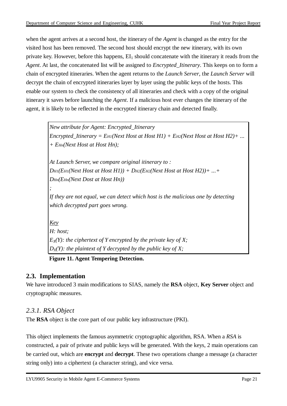when the agent arrives at a second host, the itinerary of the *Agent* is changed as the entry for the visited host has been removed. The second host should encrypt the new itinerary, with its own private key. However, before this happens,  $EI_1$  should concatenate with the itinerary it reads from the *Agent*. At last, the concatenated list will be assigned to *Encrypted\_Itinerary*. This keeps on to form a chain of encrypted itineraries. When the agent returns to the *Launch Server*, the *Launch Server* will decrypt the chain of encrypted itineraries layer by layer using the public keys of the hosts. This enable our system to check the consistency of all itineraries and check with a copy of the original itinerary it saves before launching the *Agent*. If a malicious host ever changes the itinerary of the agent, it is likely to be reflected in the encrypted itinerary chain and detected finally.

> *New attribute for Agent: Encrypted\_Itinerary Encrypted\_Itinerary* =  $E_{H1}(Next Host H0st H1) + E_{H2}(Next Host H0st H2) + ...$ *+ EHn(Next Host at Host Hn);*

*At Launch Server, we compare original itinerary to : DH1(EH1(Next Host at Host H1)) + DH2(EH2(Next Host at Host H2))+ ...+ DHn(EHn(Next Dost at Host Hn))*

*If they are not equal, we can detect which host is the malicious one by detecting which decrypted part goes wrong.*

*Key H: host; E*<sub>*X*</sub> $(Y)$ *: the ciphertext of Y encrypted by the private key of X; D*<sub>*X*</sub> $(Y)$ *: the plaintext of Y decrypted by the public key of X;* 

**Figure 11. Agent Tempering Detection.**

#### **2.3. Implementation**

*;*

We have introduced 3 main modifications to SIAS, namely the **RSA** object, **Key Server** object and cryptographic measures.

#### *2.3.1. RSA Object*

The **RSA** object is the core part of our public key infrastructure (PKI).

This object implements the famous asymmetric cryptographic algorithm, RSA. When a *RSA* is constructed, a pair of private and public keys will be generated. With the keys, 2 main operations can be carried out, which are **encrypt** and **decrypt**. These two operations change a message (a character string only) into a ciphertext (a character string), and vice versa.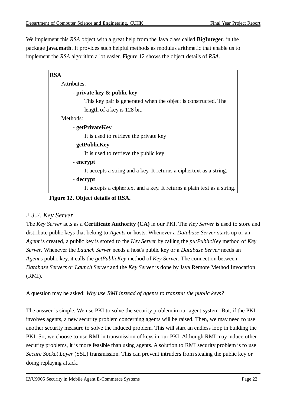We implement this *RSA* object with a great help from the Java class called **BigInteger**, in the package **java.math**. It provides such helpful methods as modulus arithmetic that enable us to implement the *RSA* algorithm a lot easier. Figure 12 shows the object details of *RSA*.

| <b>RSA</b>                                                              |
|-------------------------------------------------------------------------|
| Attributes:                                                             |
| - private key & public key                                              |
| This key pair is generated when the object is constructed. The          |
| length of a key is 128 bit.                                             |
| Methods:                                                                |
| - getPrivateKey                                                         |
| It is used to retrieve the private key                                  |
| - getPublicKey                                                          |
| It is used to retrieve the public key                                   |
| - encrypt                                                               |
| It accepts a string and a key. It returns a ciphertext as a string.     |
| - decrypt                                                               |
| It accepts a ciphertext and a key. It returns a plain text as a string. |

**Figure 12. Object details of RSA.**

#### *2.3.2. Key Server*

The *Key Server* acts as a **Certificate Authority (CA)** in our PKI. The *Key Server* is used to store and distribute public keys that belong to *Agents* or hosts. Whenever a *Database Server* starts up or an *Agent* is created, a public key is stored to the *Key Server* by calling the *putPublicKey* method of *Key Server*. Whenever the *Launch Server* needs a host's public key or a *Database Server* needs an *Agent*'s public key, it calls the *getPublicKey* method of *Key Server*. The connection between *Database Servers* or *Launch Server* and the *Key Server* is done by Java Remote Method Invocation (RMI).

A question may be asked: *Why use RMI instead of agents to transmit the public keys?*

The answer is simple. We use PKI to solve the security problem in our agent system. But, if the PKI involves agents, a new security problem concerning agents will be raised. Then, we may need to use another security measure to solve the induced problem. This will start an endless loop in building the PKI. So, we choose to use RMI in transmission of keys in our PKI. Although RMI may induce other security problems, it is more feasible than using agents. A solution to RMI security problem is to use *Secure Socket Layer* (SSL) transmission. This can prevent intruders from stealing the public key or doing replaying attack.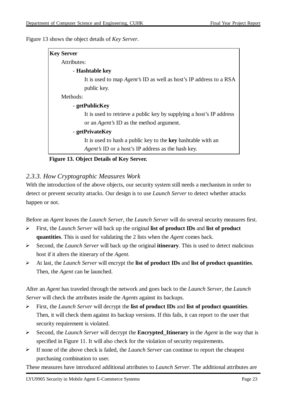Figure 13 shows the object details of *Key Server*.

| <b>Key Server</b> |                                                                           |
|-------------------|---------------------------------------------------------------------------|
| Attributes:       |                                                                           |
|                   | - Hashtable key                                                           |
|                   | It is used to map <i>Agent's</i> ID as well as host's IP address to a RSA |
|                   | public key.                                                               |
| Methods:          |                                                                           |
|                   | - getPublicKey                                                            |
|                   | It is used to retrieve a public key by supplying a host's IP address      |
|                   | or an <i>Agent's</i> ID as the method argument.                           |
|                   | - getPrivateKey                                                           |
|                   | It is used to hash a public key to the key hashtable with an              |
|                   | <i>Agent's</i> ID or a host's IP address as the hash key.                 |
|                   |                                                                           |

#### **Figure 13. Object Details of Key Server.**

#### *2.3.3. How Cryptographic Measures Work*

With the introduction of the above objects, our security system still needs a mechanism in order to detect or prevent security attacks. Our design is to use *Launch Server* to detect whether attacks happen or not.

Before an *Agent* leaves the *Launch Server*, the *Launch Server* will do several security measures first.

- First, the *Launch Server* will back up the original **list of product IDs** and **list of product quantities**. This is used for validating the 2 lists when the *Agent* comes back.
- $\blacktriangleright$ Second, the *Launch Server* will back up the original **itinerary**. This is used to detect malicious host if it alters the itinerary of the *Agent*.
- At last, the *Launch Server* will encrypt the **list of product IDs** and **list of product quantities**. Then, the *Agent* can be launched.

After an *Agent* has traveled through the network and goes back to the *Launch Server*, the *Launch Server* will check the attributes inside the *Agents* against its backups.

- $\blacktriangleright$ First, the *Launch Server* will decrypt the **list of product IDs** and **list of product quantities**. Then, it will check them against its backup versions. If this fails, it can report to the user that security requirement is violated.
- $\blacktriangleright$ Second, the *Launch Server* will decrypt the **Encrypted\_Itinerary** in the *Agent* in the way that is specified in Figure 11. It will also check for the violation of security requirements.
- $\blacktriangleright$ If none of the above check is failed, the *Launch Server* can continue to report the cheapest purchasing combination to user.

These measures have introduced additional attributes to *Launch Server*. The additional attributes are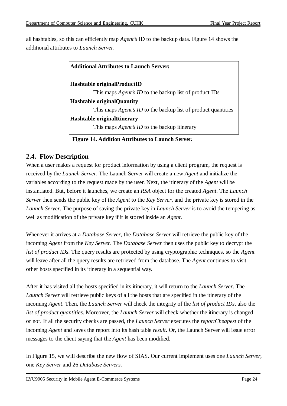all hashtables, so this can efficiently map *Agent's* ID to the backup data. Figure 14 shows the additional attributes to *Launch Server*.

| <b>Additional Attributes to Launch Server:</b>                       |
|----------------------------------------------------------------------|
| Hashtable originalProductID                                          |
| This maps <i>Agent's ID</i> to the backup list of product IDs        |
| <b>Hashtable original Quantity</b>                                   |
| This maps <i>Agent's ID</i> to the backup list of product quantities |
| <b>Hashtable originalItinerary</b>                                   |
| This maps <i>Agent's ID</i> to the backup itinerary                  |

**Figure 14. Addition Attributes to Launch Server.**

#### **2.4. Flow Description**

When a user makes a request for product information by using a client program, the request is received by the *Launch Server*. The Launch Server will create a new *Agent* and initialize the variables according to the request made by the user. Next, the itinerary of the *Agent* will be instantiated. But, before it launches, we create an *RSA* object for the created *Agent*. The *Launch Server* then sends the public key of the *Agent* to the *Key Server*, and the private key is stored in the *Launch Server*. The purpose of saving the private key in *Launch Server* is to avoid the tempering as well as modification of the private key if it is stored inside an *Agent*.

Whenever it arrives at a *Database Server*, the *Database Server* will retrieve the public key of the incoming *Agent* from the *Key Server*. The *Database Server* then uses the public key to decrypt the *list of product IDs*. The query results are protected by using cryptographic techniques, so the *Agent* will leave after all the query results are retrieved from the database. The *Agent* continues to visit other hosts specified in its itinerary in a sequential way.

After it has visited all the hosts specified in its itinerary, it will return to the *Launch Server*. The *Launch Server* will retrieve public keys of all the hosts that are specified in the itinerary of the incoming *Agent*. Then, the *Launch Server* will check the integrity of the *list of product IDs*, also the *list of product quantities*. Moreover, the *Launch Server* will check whether the itinerary is changed or not. If all the security checks are passed, the *Launch Server* executes the *reportCheapest* of the incoming *Agent* and saves the report into its hash table *result*. Or, the Launch Server will issue error messages to the client saying that the *Agent* has been modified.

In Figure 15, we will describe the new flow of SIAS. Our current implement uses one *Launch Server*, one *Key Server* and 26 *Database Servers*.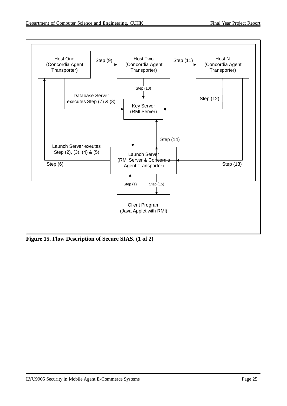

**Figure 15. Flow Description of Secure SIAS. (1 of 2)**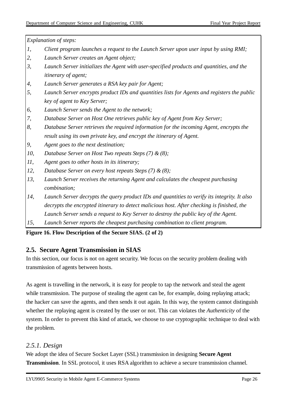*Explanation of steps:*

- *1, Client program launches a request to the Launch Server upon user input by using RMI;*
- *2, Launch Server creates an Agent object;*
- *3, Launch Server initializes the Agent with user-specified products and quantities, and the itinerary of agent;*
- *4, Launch Server generates a RSA key pair for Agent;*
- *5, Launch Server encrypts product IDs and quantities lists for Agents and registers the public key of agent to Key Server;*
- *6, Launch Server sends the Agent to the network;*
- *7, Database Server on Host One retrieves public key of Agent from Key Server;*
- *8, Database Server retrieves the required information for the incoming Agent, encrypts the result using its own private key, and encrypt the itinerary of Agent.*
- *9, Agent goes to the next destination;*
- *10, Database Server on Host Two repeats Steps (7) & (8);*
- *11, Agent goes to other hosts in its itinerary;*
- *12, Database Server on every host repeats Steps (7) & (8);*
- *13, Launch Server receives the returning Agent and calculates the cheapest purchasing combination;*
- *14, Launch Server decrypts the query product IDs and quantities to verify its integrity. It also decrypts the encrypted itinerary to detect malicious host. After checking is finished, the Launch Server sends a request to Key Server to destroy the public key of the Agent.*
- *15, Launch Server reports the cheapest purchasing combination to client program.*

#### **Figure 16. Flow Description of the Secure SIAS. (2 of 2)**

#### **2.5. Secure Agent Transmission in SIAS**

In this section, our focus is not on agent security. We focus on the security problem dealing with transmission of agents between hosts.

As agent is travelling in the network, it is easy for people to tap the network and steal the agent while transmission. The purpose of stealing the agent can be, for example, doing replaying attack; the hacker can save the agents, and then sends it out again. In this way, the system cannot distinguish whether the replaying agent is created by the user or not. This can violates the *Authenticity* of the system. In order to prevent this kind of attack, we choose to use cryptographic technique to deal with the problem.

#### *2.5.1. Design*

We adopt the idea of Secure Socket Layer (SSL) transmission in designing **Secure Agent Transmission**. In SSL protocol, it uses RSA algorithm to achieve a secure transmission channel.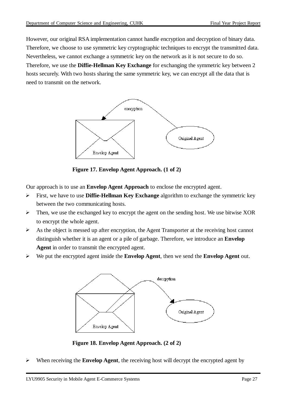However, our original RSA implementation cannot handle encryption and decryption of binary data. Therefore, we choose to use symmetric key cryptographic techniques to encrypt the transmitted data. Nevertheless, we cannot exchange a symmetric key on the network as it is not secure to do so. Therefore, we use the **Diffie-Hellman Key Exchange** for exchanging the symmetric key between 2 hosts securely. With two hosts sharing the same symmetric key, we can encrypt all the data that is need to transmit on the network.



**Figure 17. Envelop Agent Approach. (1 of 2)**

Our approach is to use an **Envelop Agent Approach** to enclose the encrypted agent.

- $\blacktriangleright$ First, we have to use **Diffie-Hellman Key Exchange** algorithm to exchange the symmetric key between the two communicating hosts.
- $\triangleright$  Then, we use the exchanged key to encrypt the agent on the sending host. We use bitwise XOR to encrypt the whole agent.
- $\triangleright$  As the object is messed up after encryption, the Agent Transporter at the receiving host cannot distinguish whether it is an agent or a pile of garbage. Therefore, we introduce an **Envelop Agent** in order to transmit the encrypted agent.
- We put the encrypted agent inside the **Envelop Agent**, then we send the **Envelop Agent** out.



**Figure 18. Envelop Agent Approach. (2 of 2)**

When receiving the **Envelop Agent**, the receiving host will decrypt the encrypted agent by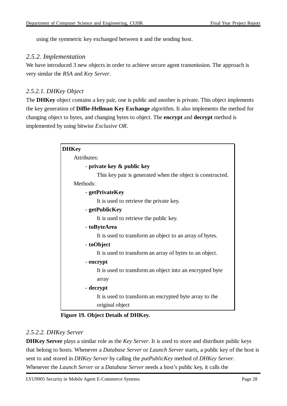using the symmetric key exchanged between it and the sending host.

#### *2.5.2. Implementation*

We have introduced 3 new objects in order to achieve secure agent transmission. The approach is very similar the *RSA* and *Key Server*.

#### *2.5.2.1. DHKey Object*

The **DHKey** object contains a key pair, one is public and another is private. This object implements the key generation of **Diffie-Hellman Key Exchange** algorithm. It also implements the method for changing object to bytes, and changing bytes to object. The **encrypt** and **decrypt** method is implemented by using bitwise *Exclusive OR*.

| <b>DHKey</b>                                               |
|------------------------------------------------------------|
| Attributes:                                                |
| - private key & public key                                 |
| This key pair is generated when the object is constructed. |
| Methods:                                                   |
| - getPrivateKey                                            |
| It is used to retrieve the private key.                    |
| - getPublicKey                                             |
| It is used to retrieve the public key.                     |
| - toByteArea                                               |
| It is used to transform an object to an array of bytes.    |
| - toObject                                                 |
| It is used to transform an array of bytes to an object.    |
| - encrypt                                                  |
| It is used to transform an object into an encrypted byte   |
| array                                                      |
| - decrypt                                                  |
| It is used to transform an encrypted byte array to the     |
| original object                                            |

#### **Figure 19. Object Details of DHKey.**

#### *2.5.2.2. DHKey Server*

**DHKey Server** plays a similar role as the *Key Server*. It is used to store and distribute public keys that belong to hosts. Whenever a *Database Server* or *Launch Server* starts, a public key of the host is sent to and stored in *DHKey Server* by calling the *putPublicKey* method of *DHKey Server*. Whenever the *Launch Server* or a *Database Server* needs a host's public key, it calls the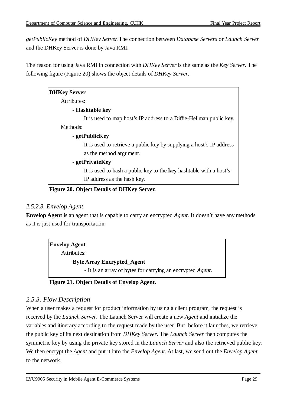*getPublicKey* method of *DHKey Server*.The connection between *Database Servers* or *Launch Server* and the DHKey Server is done by Java RMI.

The reason for using Java RMI in connection with *DHKey Server* is the same as the *Key Server*. The following figure (Figure 20) shows the object details of *DHKey Server*.

| <b>DHKey Server</b>                                                  |
|----------------------------------------------------------------------|
| Attributes:                                                          |
| - Hashtable key                                                      |
| It is used to map host's IP address to a Diffie-Hellman public key.  |
| Methods:                                                             |
| - getPublicKey                                                       |
| It is used to retrieve a public key by supplying a host's IP address |
| as the method argument.                                              |
| - getPrivateKey                                                      |
| It is used to hash a public key to the key hashtable with a host's   |
| IP address as the hash key.                                          |

**Figure 20. Object Details of DHKey Server.**

#### *2.5.2.3. Envelop Agent*

**Envelop Agent** is an agent that is capable to carry an encrypted *Agent*. It doesn't have any methods as it is just used for transportation.

| <b>Envelop Agent</b>                                               |  |
|--------------------------------------------------------------------|--|
| Attributes:                                                        |  |
| <b>Byte Array Encrypted_Agent</b>                                  |  |
| - It is an array of bytes for carrying an encrypted <i>Agent</i> . |  |
|                                                                    |  |

**Figure 21. Object Details of Envelop Agent.**

#### *2.5.3. Flow Description*

When a user makes a request for product information by using a client program, the request is received by the *Launch Server*. The Launch Server will create a new *Agent* and initialize the variables and itinerary according to the request made by the user. But, before it launches, we retrieve the public key of its next destination from *DHKey Server*. The *Launch Server* then computes the symmetric key by using the private key stored in the *Launch Server* and also the retrieved public key. We then encrypt the *Agent* and put it into the *Envelop Agent*. At last, we send out the *Envelop Agent* to the network.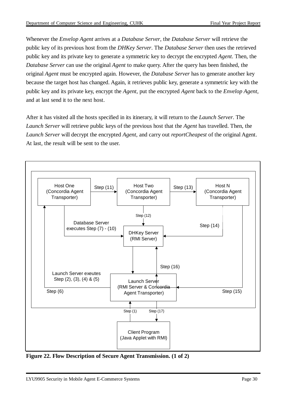Whenever the *Envelop Agent* arrives at a *Database Server*, the *Database Server* will retrieve the public key of its previous host from the *DHKey Server*. The *Database Server* then uses the retrieved public key and its private key to generate a symmetric key to decrypt the encrypted *Agent*. Then, the *Database Server* can use the original *Agent* to make query. After the query has been finished, the original *Agent* must be encrypted again. However, the *Database Server* has to generate another key because the target host has changed. Again, it retrieves public key, generate a symmetric key with the public key and its private key, encrypt the *Agent*, put the encrypted *Agent* back to the *Envelop Agent*, and at last send it to the next host.

After it has visited all the hosts specified in its itinerary, it will return to the *Launch Server*. The *Launch Server* will retrieve public keys of the previous host that the *Agent* has travelled. Then, the *Launch Server* will decrypt the encrypted *Agent*, and carry out *reportCheapest* of the original Agent. At last, the result will be sent to the user.



**Figure 22. Flow Description of Secure Agent Transmission. (1 of 2)**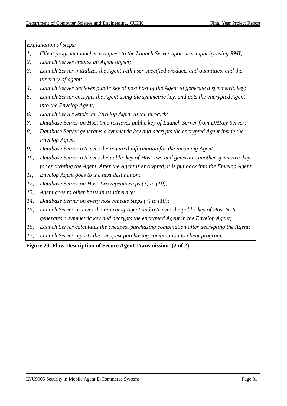*Explanation of steps:*

- *1, Client program launches a request to the Launch Server upon user input by using RMI;*
- *2, Launch Server creates an Agent object;*
- *3, Launch Server initializes the Agent with user-specified products and quantities, and the itinerary of agent;*
- *4, Launch Server retrieves public key of next host of the Agent to generate a symmetric key;*
- *5, Launch Server encrypts the Agent using the symmetric key, and puts the encrypted Agent into the Envelop Agent;*
- *6, Launch Server sends the Envelop Agent to the network;*
- *7, Database Server on Host One retrieves public key of Launch Server from DHKey Server;*
- *8, Database Server generates a symmetric key and decrypts the encrypted Agent inside the Envelop Agent.*
- *9, Database Server retrieves the required information for the incoming Agent*
- *10, Database Server retrieves the public key of Host Two and generates another symmetric key for encrypting the Agent. After the Agent is encrypted, it is put back into the Envelop Agent.*
- *11, Envelop Agent goes to the next destination;*
- *12, Database Server on Host Two repeats Steps (7) to (10);*
- *13, Agent goes to other hosts in its itinerary;*
- *14, Database Server on every host repeats Steps (7) to (10);*
- *15, Launch Server receives the returning Agent and retrieves the public key of Host N. It generates a symmetric key and decrypts the encrypted Agent in the Envelop Agent;*
- *16, Launch Server calculates the cheapest purchasing combination after decrypting the Agent;*
- *17, Launch Server reports the cheapest purchasing combination to client program.*

**Figure 23. Flow Description of Secure Agent Transmission. (2 of 2)**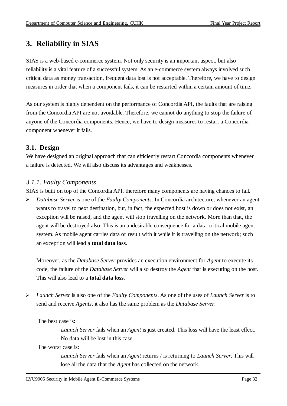## **3. Reliability in SIAS**

SIAS is a web-based e-commerce system. Not only security is an important aspect, but also reliability is a vital feature of a successful system. As an e-commerce system always involved such critical data as money transaction, frequent data lost is not acceptable. Therefore, we have to design measures in order that when a component fails, it can be restarted within a certain amount of time.

As our system is highly dependent on the performance of Concordia API, the faults that are raising from the Concordia API are not avoidable. Therefore, we cannot do anything to stop the failure of anyone of the Concordia components. Hence, we have to design measures to restart a Concordia component whenever it fails.

#### **3.1. Design**

We have designed an original approach that can efficiently restart Concordia components whenever a failure is detected. We will also discuss its advantages and weaknesses.

#### *3.1.1. Faulty Components*

SIAS is built on top of the Concordia API, therefore many components are having chances to fail.

 *Database Server* is one of the *Faulty Components*. In Concordia architecture, whenever an agent wants to travel to next destination, but, in fact, the expected host is down or does not exist, an exception will be raised, and the agent will stop travelling on the network. More than that, the agent will be destroyed also. This is an undesirable consequence for a data-critical mobile agent system. As mobile agent carries data or result with it while it is travelling on the network; such an exception will lead a **total data loss**.

Moreover, as the *Database Server* provides an execution environment for *Agent* to execute its code, the failure of the *Database Server* will also destroy the *Agent* that is executing on the host. This will also lead to a **total data loss**.

 *Launch Server* is also one of the *Faulty Components*. As one of the uses of *Launch Server* is to send and receive *Agents*, it also has the same problem as the *Database Server*.

The best case is:

*Launch Server* fails when an *Agent* is just created. This loss will have the least effect. No data will be lost in this case.

The worst case is:

*Launch Server* fails when an *Agent* returns / is returning to *Launch Server*. This will lose all the data that the *Agent* has collected on the network.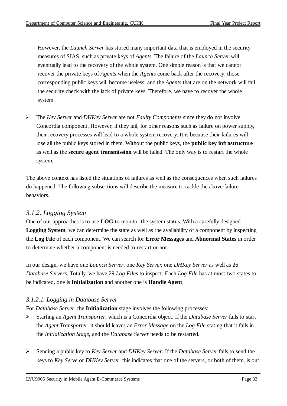However, the *Launch Server* has stored many important data that is employed in the security measures of SIAS, such as private keys of *Agents*. The failure of the *Launch Server* will eventually lead to the recovery of the whole system. One simple reason is that we cannot recover the private keys of *Agents* when the *Agents* come back after the recovery; those corresponding public keys will become useless, and the *Agents* that are on the network will fail the security check with the lack of private keys. Therefore, we have to recover the whole system.

 The *Key Server* and *DHKey Server* are not *Faulty Components* since they do not involve Concordia component. However, if they fail, for other reasons such as failure on power supply, their recovery processes will lead to a whole system recovery. It is because their failures will lose all the public keys stored in them. Without the public keys, the **public key infrastructure** as well as the **secure agent transmission** will be failed. The only way is to restart the whole system.

The above context has listed the situations of failures as well as the consequences when such failures do happened. The following subsections will describe the measure to tackle the above failure behaviors.

#### *3.1.2. Logging System*

One of our approaches is to use **LOG** to monitor the system status. With a carefully designed **Logging System**, we can determine the state as well as the availability of a component by inspecting the **Log File** of each component. We can search for **Error Messages** and **Abnormal States** in order to determine whether a component is needed to restart or not.

In our design, we have one *Launch Server*, one *Key Server,* one *DHKey Server* as well as 26 *Database Servers*. Totally, we have 29 *Log Files* to inspect. Each *Log File* has at most two states to be indicated, one is **Initialization** and another one is **Handle Agent**.

#### *3.1.2.1. Logging in Database Server*

For *Database Server*, the **Initialization** stage involves the following processes:

- Starting an *Agent Transporter*, which is a Concordia object. If the *Database Server* fails to start the *Agent Transporter*, it should leaves an *Error Message* on the *Log File* stating that it fails in the *Initialization Stage*, and the *Database Server* needs to be restarted.
- Sending a public key to *Key Server* and *DHKey Server*. If the *Database Server* fails to send the keys to *Key Serve* or *DHKey Server*, this indicates that one of the servers, or both of them, is out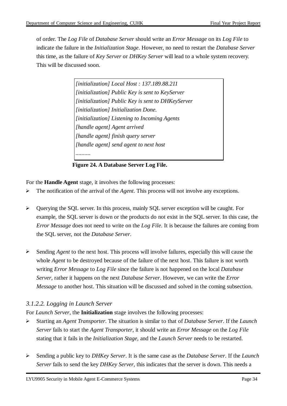of order. The *Log File* of *Database Server* should write an *Error Message* on its *Log File* to indicate the failure in the *Initialization Stage*. However, no need to restart the *Database Server* this time, as the failure of *Key Server* or *DHKey Server* will lead to a whole system recovery. This will be discussed soon.

> *[initialization] Local Host : 137.189.88.211 [initialization] Public Key is sent to KeyServer [initialization] Public Key is sent to DHKeyServer [initialization] Initialization Done. [initialization] Listening to Incoming Agents [handle agent] Agent arrived [handle agent] finish query server [handle agent] send agent to next host ..........*

**Figure 24. A Database Server Log File.**

For the **Handle Agent** stage, it involves the following processes:

- The notification of the arrival of the *Agent*. This process will not involve any exceptions.
- Querying the SQL server. In this process, mainly SQL server exception will be caught. For example, the SQL server is down or the products do not exist in the SQL server. In this case, the *Error Message* does not need to write on the *Log File*. It is because the failures are coming from the SQL server, not the *Database Server*.
- Sending *Agent* to the next host. This process will involve failures, especially this will cause the whole *Agent* to be destroyed because of the failure of the next host. This failure is not worth writing *Error Message* to *Log File* since the failure is not happened on the local *Database Server*, rather it happens on the next *Database Server*. However, we can write the *Error Message* to another host. This situation will be discussed and solved in the coming subsection.

#### *3.1.2.2. Logging in Launch Server*

For *Launch Server*, the **Initialization** stage involves the following processes:

- Starting an *Agent Transporter*. The situation is similar to that of *Database Server*. If the *Launch Server* fails to start the *Agent Transporter*, it should write an *Error Message* on the *Log File* stating that it fails in the *Initialization Stage*, and the *Launch Server* needs to be restarted.
- Sending a public key to *DHKey Server*. It is the same case as the *Database Server*. If the *Launch Server* fails to send the key *DHKey Server*, this indicates that the server is down. This needs a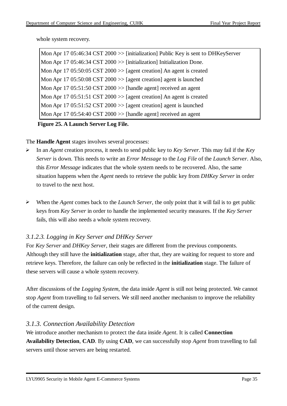whole system recovery.

Mon Apr 17 05:46:34 CST 2000 >> [initialization] Public Key is sent to DHKeyServer Mon Apr 17 05:46:34 CST 2000 > [initialization] Initialization Done. Mon Apr 17 05:50:05 CST 2000  $\gg$  [agent creation] An agent is created Mon Apr 17 05:50:08 CST 2000 > [agent creation] agent is launched Mon Apr 17 05:51:50 CST 2000 > [handle agent] received an agent Mon Apr 17 05:51:51 CST 2000 > [agent creation] An agent is created Mon Apr 17 05:51:52 CST 2000  $\gg$  [agent creation] agent is launched Mon Apr 17 05:54:40 CST 2000 >> [handle agent] received an agent

#### **Figure 25. A Launch Server Log File.**

The **Handle Agent** stages involves several processes:

- In an *Agent* creation process, it needs to send public key to *Key Server*. This may fail if the *Key Server* is down. This needs to write an *Error Message* to the *Log File* of the *Launch Server*. Also, this *Error Message* indicates that the whole system needs to be recovered. Also, the same situation happens when the *Agent* needs to retrieve the public key from *DHKey Server* in order to travel to the next host.
- When the *Agent* comes back to the *Launch Server*, the only point that it will fail is to get public keys from *Key Server* in order to handle the implemented security measures. If the *Key Server* fails, this will also needs a whole system recovery.

#### *3.1.2.3. Logging in Key Server and DHKey Server*

For *Key Server* and *DHKey Server*, their stages are different from the previous components. Although they still have the **initialization** stage, after that, they are waiting for request to store and retrieve keys. Therefore, the failure can only be reflected in the **initialization** stage. The failure of these servers will cause a whole system recovery.

After discussions of the *Logging System*, the data inside *Agent* is still not being protected. We cannot stop *Agent* from travelling to fail servers. We still need another mechanism to improve the reliability of the current design.

#### *3.1.3. Connection Availability Detection*

We introduce another mechanism to protect the data inside *Agent*. It is called **Connection Availability Detection**, **CAD**. By using **CAD**, we can successfully stop *Agent* from travelling to fail servers until those servers are being restarted.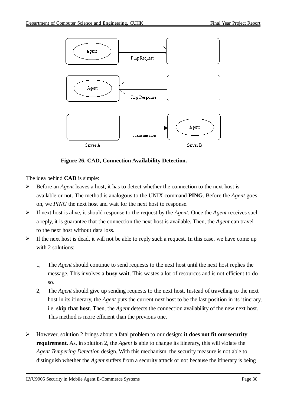

**Figure 26. CAD, Connection Availability Detection.**

The idea behind **CAD** is simple:

- $\triangleright$  Before an *Agent* leaves a host, it has to detect whether the connection to the next host is available or not. The method is analogous to the UNIX command **PING**. Before the *Agent* goes on, we *PING* the next host and wait for the next host to response.
- If next host is alive, it should response to the request by the *Agent*. Once the *Agent* receives such a reply, it is guarantee that the connection the next host is available. Then, the *Agent* can travel to the next host without data loss.
- $\triangleright$  If the next host is dead, it will not be able to reply such a request. In this case, we have come up with 2 solutions:
	- 1, The *Agent* should continue to send requests to the next host until the next host replies the message. This involves a **busy wait**. This wastes a lot of resources and is not efficient to do so.
	- 2, The *Agent* should give up sending requests to the next host. Instead of travelling to the next host in its itinerary, the *Agent* puts the current next host to be the last position in its itinerary, i.e. **skip that host**. Then, the *Agent* detects the connection availability of the new next host. This method is more efficient than the previous one.
- However, solution 2 brings about a fatal problem to our design: **it does not fit our security requirement**. As, in solution 2, the *Agent* is able to change its itinerary, this will violate the *Agent Tempering Detection* design. With this mechanism, the security measure is not able to distinguish whether the *Agent* suffers from a security attack or not because the itinerary is being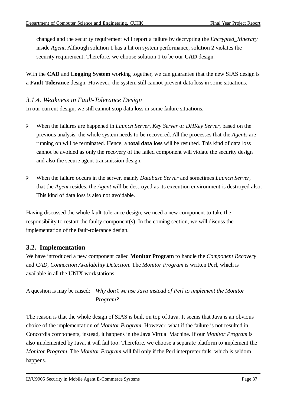changed and the security requirement will report a failure by decrypting the *Encrypted\_Itinerary* inside *Agent*. Although solution 1 has a hit on system performance, solution 2 violates the security requirement. Therefore, we choose solution 1 to be our **CAD** design.

With the **CAD** and **Logging System** working together, we can guarantee that the new SIAS design is a **Fault-Tolerance** design. However, the system still cannot prevent data loss in some situations.

#### *3.1.4. Weakness in Fault-Tolerance Design*

In our current design, we still cannot stop data loss in some failure situations.

- When the failures are happened in *Launch Server*, *Key Server* or *DHKey Server*, based on the previous analysis, the whole system needs to be recovered. All the processes that the *Agents* are running on will be terminated. Hence, a **total data loss** will be resulted. This kind of data loss cannot be avoided as only the recovery of the failed component will violate the security design and also the secure agent transmission design.
- When the failure occurs in the server, mainly *Database Server* and sometimes *Launch Server*, that the *Agent* resides, the *Agent* will be destroyed as its execution environment is destroyed also. This kind of data loss is also not avoidable.

Having discussed the whole fault-tolerance design, we need a new component to take the responsibility to restart the faulty component(s). In the coming section, we will discuss the implementation of the fault-tolerance design.

#### **3.2. Implementation**

We have introduced a new component called **Monitor Program** to handle the *Component Recovery* and *CAD, Connection Availability Detection*. The *Monitor Program* is written Perl, which is available in all the UNIX workstations.

A question is may be raised: *Why don't we use Java instead of Perl to implement the Monitor Program?*

The reason is that the whole design of SIAS is built on top of Java. It seems that Java is an obvious choice of the implementation of *Monitor Program*. However, what if the failure is not resulted in Concordia components, instead, it happens in the Java Virtual Machine. If our *Monitor Program* is also implemented by Java, it will fail too. Therefore, we choose a separate platform to implement the *Monitor Program*. The *Monitor Program* will fail only if the Perl interpreter fails, which is seldom happens.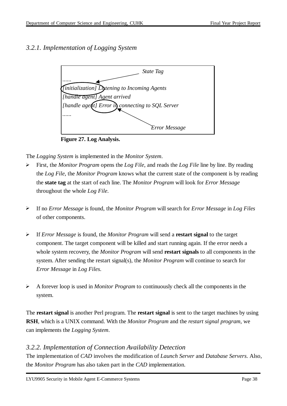#### *3.2.1. Implementation of Logging System*



**Figure 27. Log Analysis.**

The *Logging System* is implemented in the *Monitor System*.

- First, the *Monitor Program* opens the *Log File*, and reads the *Log File* line by line. By reading the *Log File*, the *Monitor Program* knows what the current state of the component is by reading the **state tag** at the start of each line. The *Monitor Program* will look for *Error Message* throughout the whole *Log File*.
- If no *Error Message* is found, the *Monitor Program* will search for *Error Message* in *Log Files* of other components.
- If *Error Message* is found, the *Monitor Program* will send a **restart signal** to the target component. The target component will be killed and start running again. If the error needs a whole system recovery, the *Monitor Program* will send **restart signals** to all components in the system. After sending the restart signal(s), the *Monitor Program* will continue to search for *Error Message* in *Log Files*.
- A forever loop is used in *Monitor Program* to continuously check all the components in the system.

The **restart signal** is another Perl program. The **restart signal** is sent to the target machines by using **RSH**, which is a UNIX command. With the *Monitor Program* and the *restart signal program*, we can implements the *Logging System*.

#### *3.2.2. Implementation of Connection Availability Detection*

The implementation of *CAD* involves the modification of *Launch Server* and *Database Servers*. Also, the *Monitor Program* has also taken part in the *CAD* implementation.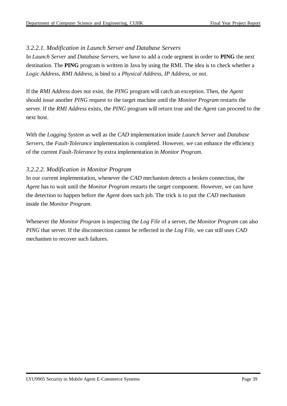#### *3.2.2.1. Modification in Launch Server and Database Servers*

In *Launch Server* and *Database Servers*, we have to add a code segment in order to **PING** the next destination. The **PING** program is written in Java by using the RMI. The idea is to check whether a *Logic Address, RMI Address,* is bind to a *Physical Address, IP Address,* or not.

If the *RMI Address* does not exist, the *PING* program will catch an exception. Then, the *Agent* should issue another *PING* request to the target machine until the *Monitor Program* restarts the server. If the *RMI Address* exists, the *PING* program will return true and the *Agent* can proceed to the next host.

With the *Logging System* as well as the *CAD* implementation inside *Launch Server* and *Database Servers*, the *Fault-Tolerance* implementation is completed. However, we can enhance the efficiency of the current *Fault-Tolerance* by extra implementation in *Monitor Program*.

#### *3.2.2.2. Modification in Monitor Program*

In our current implementation, whenever the *CAD* mechanism detects a broken connection, the *Agent* has to wait until the *Monitor Program* restarts the target component. However, we can have the detection to happen before the *Agent* does such job. The trick is to put the *CAD* mechanism inside the *Monitor Program*.

Whenever the *Monitor Program* is inspecting the *Log File* of a server, the *Monitor Program* can also *PING* that server. If the disconnection cannot be reflected in the *Log File*, we can still uses *CAD* mechanism to recover such failures.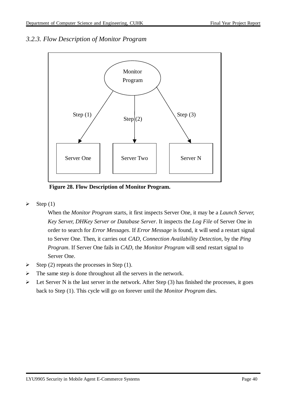#### *3.2.3. Flow Description of Monitor Program*



**Figure 28. Flow Description of Monitor Program.**

 $\triangleright$  Step (1)

When the *Monitor Program* starts, it first inspects Server One, it may be a *Launch Server, Key Server, DHKey Server or Database Server*. It inspects the *Log File* of Server One in order to search for *Error Messages*. If *Error Message* is found, it will send a restart signal to Server One. Then, it carries out *CAD, Connection Availability Detection,* by the *Ping Program*. If Server One fails in *CAD*, the *Monitor Program* will send restart signal to Server One.

- Step (2) repeats the processes in Step (1).
- $\triangleright$  The same step is done throughout all the servers in the network.
- Executively Let Server N is the last server in the network. After Step  $(3)$  has finished the processes, it goes back to Step (1). This cycle will go on forever until the *Monitor Program* dies.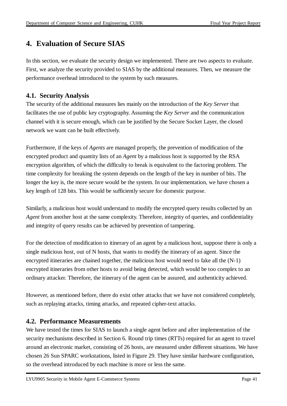## **4. Evaluation of Secure SIAS**

In this section, we evaluate the security design we implemented. There are two aspects to evaluate. First, we analyze the security provided to SIAS by the additional measures. Then, we measure the performance overhead introduced to the system by such measures.

#### **4.1. Security Analysis**

The security of the additional measures lies mainly on the introduction of the *Key Server* that facilitates the use of public key cryptography. Assuming the *Key Server* and the communication channel with it is secure enough, which can be justified by the Secure Socket Layer, the closed network we want can be built effectively.

Furthermore, if the keys of *Agents* are managed properly, the prevention of modification of the encrypted product and quantity lists of an *Agent* by a malicious host is supported by the RSA encryption algorithm, of which the difficulty to break is equivalent to the factoring problem. The time complexity for breaking the system depends on the length of the key in number of bits. The longer the key is, the more secure would be the system. In our implementation, we have chosen a key length of 128 bits. This would be sufficiently secure for domestic purpose.

Similarly, a malicious host would understand to modify the encrypted query results collected by an *Agent* from another host at the same complexity. Therefore, integrity of queries, and confidentiality and integrity of query results can be achieved by prevention of tampering.

For the detection of modification to itinerary of an agent by a malicious host, suppose there is only a single malicious host, out of N hosts, that wants to modify the itinerary of an agent. Since the encrypted itineraries are chained together, the malicious host would need to fake all the (N-1) encrypted itineraries from other hosts to avoid being detected, which would be too complex to an ordinary attacker. Therefore, the itinerary of the agent can be assured, and authenticity achieved.

However, as mentioned before, there do exist other attacks that we have not considered completely, such as replaying attacks, timing attacks, and repeated cipher-text attacks.

#### **4.2. Performance Measurements**

We have tested the times for SIAS to launch a single agent before and after implementation of the security mechanisms described in Section 6. Round trip times (RTTs) required for an agent to travel around an electronic market, consisting of 26 hosts, are measured under different situations. We have chosen 26 Sun SPARC workstations, listed in Figure 29. They have similar hardware configuration, so the overhead introduced by each machine is more or less the same.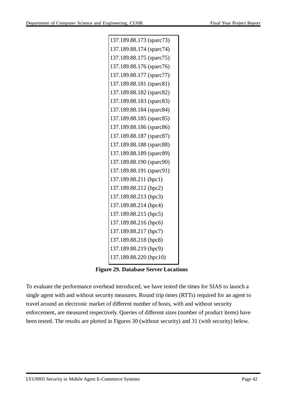| 137.189.88.173 (sparc73) |
|--------------------------|
| 137.189.88.174 (sparc74) |
| 137.189.88.175 (sparc75) |
| 137.189.88.176 (sparc76) |
| 137.189.88.177 (sparc77) |
| 137.189.88.181 (sparc81) |
| 137.189.88.182 (sparc82) |
| 137.189.88.183 (sparc83) |
| 137.189.88.184 (sparc84) |
| 137.189.88.185 (sparc85) |
| 137.189.88.186 (sparc86) |
| 137.189.88.187 (sparc87) |
| 137.189.88.188 (sparc88) |
| 137.189.88.189 (sparc89) |
| 137.189.88.190 (sparc90) |
| 137.189.88.191 (sparc91) |
| 137.189.88.211 (hpc1)    |
| 137.189.88.212 (hpc2)    |
| 137.189.88.213 (hpc3)    |
| 137.189.88.214 (hpc4)    |
| 137.189.88.215 (hpc5)    |
| 137.189.88.216 (hpc6)    |
| 137.189.88.217 (hpc7)    |
| 137.189.88.218 (hpc8)    |
| 137.189.88.219 (hpc9)    |
| 137.189.88.220 (hpc10)   |
|                          |

**Figure 29. Database Server Locations**

To evaluate the performance overhead introduced, we have tested the times for SIAS to launch a single agent with and without security measures. Round trip times (RTTs) required for an agent to travel around an electronic market of different number of hosts, with and without security enforcement, are measured respectively. Queries of different sizes (number of product items) have been tested. The results are plotted in Figures 30 (without security) and 31 (with security) below.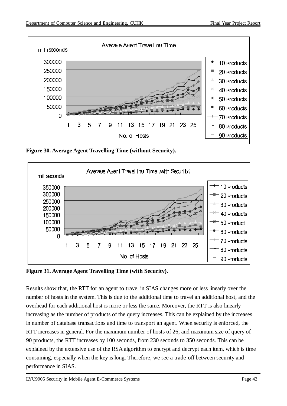

**Figure 30. Average Agent Travelling Time (without Security).**



**Figure 31. Average Agent Travelling Time (with Security).**

Results show that, the RTT for an agent to travel in SIAS changes more or less linearly over the number of hosts in the system. This is due to the additional time to travel an additional host, and the overhead for each additional host is more or less the same. Moreover, the RTT is also linearly increasing as the number of products of the query increases. This can be explained by the increases in number of database transactions and time to transport an agent. When security is enforced, the RTT increases in general. For the maximum number of hosts of 26, and maximum size of query of 90 products, the RTT increases by 100 seconds, from 230 seconds to 350 seconds. This can be explained by the extensive use of the RSA algorithm to encrypt and decrypt each item, which is time consuming, especially when the key is long. Therefore, we see a trade-off between security and performance in SIAS.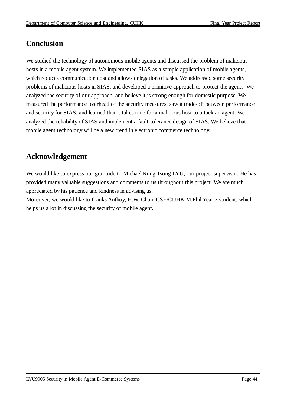## **Conclusion**

We studied the technology of autonomous mobile agents and discussed the problem of malicious hosts in a mobile agent system. We implemented SIAS as a sample application of mobile agents, which reduces communication cost and allows delegation of tasks. We addressed some security problems of malicious hosts in SIAS, and developed a primitive approach to protect the agents. We analyzed the security of our approach, and believe it is strong enough for domestic purpose. We measured the performance overhead of the security measures, saw a trade-off between performance and security for SIAS, and learned that it takes time for a malicious host to attack an agent. We analyzed the reliability of SIAS and implement a fault-tolerance design of SIAS. We believe that mobile agent technology will be a new trend in electronic commerce technology.

### **Acknowledgement**

We would like to express our gratitude to Michael Rung Tsong LYU, our project supervisor. He has provided many valuable suggestions and comments to us throughout this project. We are much appreciated by his patience and kindness in advising us.

Moreover, we would like to thanks Anthoy, H.W. Chan, CSE/CUHK M.Phil Year 2 student, which helps us a lot in discussing the security of mobile agent.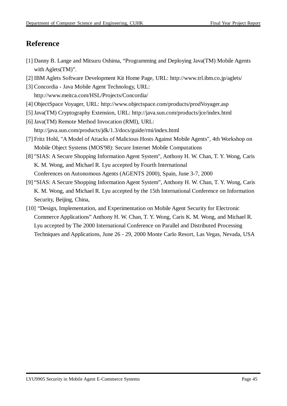## **Reference**

- [1] Danny B. Lange and Mitsuru Oshima, "Programming and Deploying Java(TM) Mobile Agents with Aglets(TM)".
- [2] IBM Aglets Software Development Kit Home Page, URL: http://www.trl.ibm.co.jp/aglets/
- [3] Concordia Java Mobile Agent Technology, URL: http://www.meitca.com/HSL/Projects/Concordia/
- [4] ObjectSpace Voyager, URL: http://www.objectspace.com/products/prodVoyager.asp
- [5] Java(TM) Cryptography Extension, URL: http://java.sun.com/products/jce/index.html
- [6] Java(TM) Remote Method Invocation (RMI), URL: http://java.sun.com/products/jdk/1.3/docs/guide/rmi/index.html
- [7] Fritz Hohl, "A Model of Attacks of Malicious Hosts Against Mobile Agents", 4th Workshop on Mobile Object Systems (MOS'98): Secure Internet Mobile Computations
- [8] "SIAS: A Secure Shopping Information Agent System", Anthony H. W. Chan, T. Y. Wong, Caris K. M. Wong, and Michael R. Lyu accepted by Fourth International Conferences on Autonomous Agents (AGENTS 2000), Spain, June 3-7, 2000
- [9] "SIAS: A Secure Shopping Information Agent System", Anthony H. W. Chan, T. Y. Wong, Caris K. M. Wong, and Michael R. Lyu accepted by the 15th International Conference on Information Security, Beijing, China,
- [10] "Design, Implementation, and Experimentation on Mobile Agent Security for Electronic Commerce Applications" Anthony H. W. Chan, T. Y. Wong, Caris K. M. Wong, and Michael R. Lyu accepted by The 2000 International Conference on Parallel and Distributed Processing Techniques and Applications, June 26 - 29, 2000 Monte Carlo Resort, Las Vegas, Nevada, USA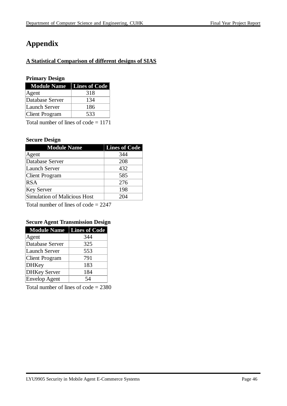## **Appendix**

#### **A Statistical Comparison of different designs of SIAS**

#### **Primary Design**

| <b>Module Name</b>   Lines of Code |     |
|------------------------------------|-----|
| Agent                              | 318 |
| Database Server                    | 134 |
| Launch Server                      | 186 |
| Client Program                     | 533 |

Total number of lines of code = 1171

#### **Secure Design**

| <b>Module Name</b>           | <b>Lines of Code</b> |
|------------------------------|----------------------|
| Agent                        | 344                  |
| Database Server              | 208                  |
| <b>Launch Server</b>         | 432                  |
| Client Program               | 585                  |
| <b>RSA</b>                   | 276                  |
| <b>Key Server</b>            | 198                  |
| Simulation of Malicious Host | 204                  |

Total number of lines of code = 2247

#### **Secure Agent Transmission Design**

| <b>Module Name</b>    | <b>Lines of Code</b> |
|-----------------------|----------------------|
| Agent                 | 344                  |
| Database Server       | 325                  |
| <b>Launch Server</b>  | 553                  |
| <b>Client Program</b> | 791                  |
| DHKey                 | 183                  |
| <b>DHKey Server</b>   | 184                  |
| Envelop Agent         | 54                   |

Total number of lines of code = 2380